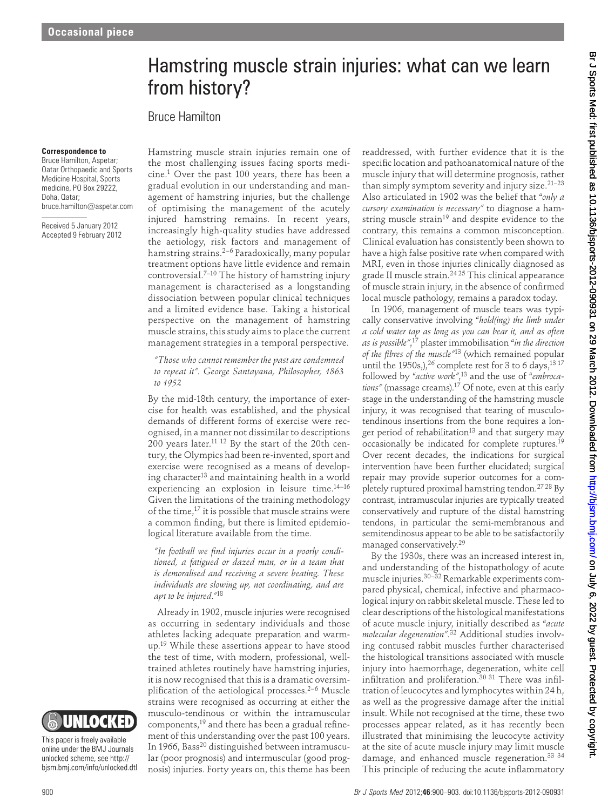## Hamstring muscle strain injuries: what can we learn from history?

### Bruce Hamilton

#### **Correspondence to**

Bruce Hamilton, Aspetar; Qatar Orthopaedic and Sports Medicine Hospital, Sports medicine, PO Box 29222, Doha, Qatar; bruce.hamilton@aspetar.com

Received 5 January 2012 Accepted 9 February 2012 Hamstring muscle strain injuries remain one of the most challenging issues facing sports medicine.1 Over the past 100 years, there has been a gradual evolution in our understanding and management of hamstring injuries, but the challenge of optimising the management of the acutely injured hamstring remains. In recent years, increasingly high-quality studies have addressed the aetiology, risk factors and management of hamstring strains.2–6 Paradoxically, many popular treatment options have little evidence and remain controversial.7–10 The history of hamstring injury management is characterised as a longstanding dissociation between popular clinical techniques and a limited evidence base. Taking a historical perspective on the management of hamstring muscle strains, this study aims to place the current management strategies in a temporal perspective.

*"Those who cannot remember the past are condemned to repeat it". George Santayana, Philosopher, 1863 to 1952*

By the mid-18th century, the importance of exercise for health was established, and the physical demands of different forms of exercise were recognised, in a manner not dissimilar to descriptions 200 years later.11 12 By the start of the 20th century, the Olympics had been re-invented, sport and exercise were recognised as a means of developing character<sup>13</sup> and maintaining health in a world experiencing an explosion in leisure time.14–16 Given the limitations of the training methodology of the time,<sup>17</sup> it is possible that muscle strains were a common finding, but there is limited epidemiological literature available from the time.

"In football we find injuries occur in a poorly condi*tioned, a fatigued or dazed man, or in a team that is demoralised and receiving a severe beating. These individuals are slowing up, not coordinating, and are apt to be injured*.*"*<sup>18</sup>

Already in 1902, muscle injuries were recognised as occurring in sedentary individuals and those athletes lacking adequate preparation and warmup.19 While these assertions appear to have stood the test of time, with modern, professional, welltrained athletes routinely have hamstring injuries, it is now recognised that this is a dramatic oversimplification of the aetiological processes. $2-6$  Muscle strains were recognised as occurring at either the musculo-tendinous or within the intramuscular components, $19$  and there has been a gradual refinement of this understanding over the past 100 years. In 1966, Bass<sup>20</sup> distinguished between intramuscular (poor prognosis) and intermuscular (good prognosis) injuries. Forty years on, this theme has been

readdressed, with further evidence that it is the specific location and pathoanatomical nature of the muscle injury that will determine prognosis, rather than simply symptom severity and injury size.<sup>21-23</sup> Also articulated in 1902 was the belief that "*only a cursory examination is necessary"* to diagnose a hamstring muscle strain<sup>19</sup> and despite evidence to the contrary, this remains a common misconception. Clinical evaluation has consistently been shown to have a high false positive rate when compared with MRI, even in those injuries clinically diagnosed as grade II muscle strain. $^{24,25}$  This clinical appearance of muscle strain injury, in the absence of confirmed local muscle pathology, remains a paradox today.

In 1906, management of muscle tears was typically conservative involving "*hold(ing) the limb under a cold water tap as long as you can bear it, and as often as is possible"*, 17 plaster immobilisation "*in the direction*  of the fibres of the muscle<sup>"13</sup> (which remained popular until the 1950s,),<sup>26</sup> complete rest for 3 to 6 days,<sup>13 17</sup> followed by "*active work"*, 13 and the use of "*embrocations"* (massage creams).17 Of note, even at this early stage in the understanding of the hamstring muscle injury, it was recognised that tearing of musculotendinous insertions from the bone requires a longer period of rehabilitation<sup>13</sup> and that surgery may occasionally be indicated for complete ruptures.<sup>19</sup> Over recent decades, the indications for surgical intervention have been further elucidated; surgical repair may provide superior outcomes for a completely ruptured proximal hamstring tendon.27 28 By contrast, intramuscular injuries are typically treated conservatively and rupture of the distal hamstring tendons, in particular the semi-membranous and semitendinosus appear to be able to be satisfactorily managed conservatively.<sup>29</sup>

By the 1930s, there was an increased interest in, and understanding of the histopathology of acute muscle injuries.30–32 Remarkable experiments compared physical, chemical, infective and pharmacological injury on rabbit skeletal muscle. These led to clear descriptions of the histological manifestations of acute muscle injury, initially described as "*acute molecular degeneration"*. 32 Additional studies involving contused rabbit muscles further characterised the histological transitions associated with muscle injury into haemorrhage, degeneration, white cell infiltration and proliferation.<sup>30 31</sup> There was infiltration of leucocytes and lymphocytes within 24 h, as well as the progressive damage after the initial insult. While not recognised at the time, these two processes appear related, as it has recently been illustrated that minimising the leucocyte activity at the site of acute muscle injury may limit muscle damage, and enhanced muscle regeneration.33 34 This principle of reducing the acute inflammatory



online under the BMJ Journals unlocked scheme, see http:// bjsm.bmj.com/info/unlocked.dtl

**UNLOCKED**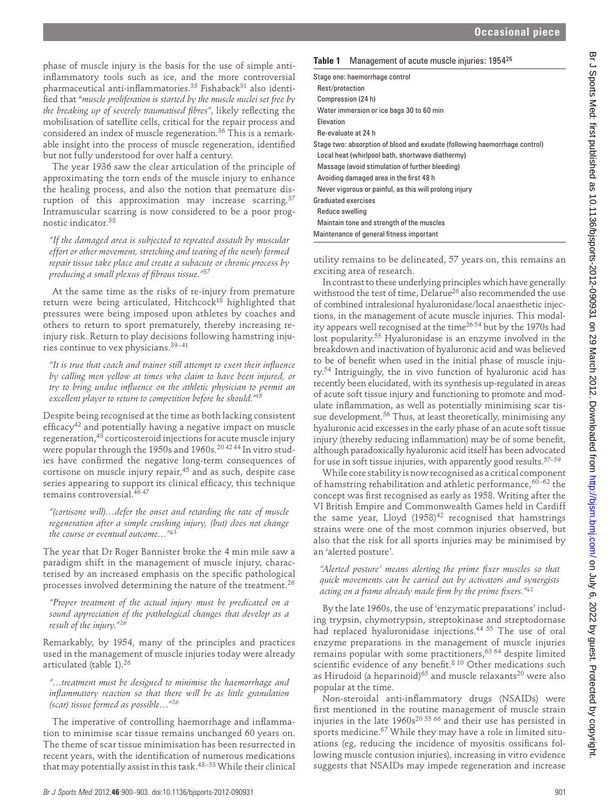phase of muscle injury is the basis for the use of simple antiinflammatory tools such as ice, and the more controversial pharmaceutical anti-inflammatories. $35$  Fishaback $31$  also identified that "*muscle proliferation is started by the muscle nuclei set free by the breaking up of severely traumatised fibres"*, likely reflecting the mobilisation of satellite cells, critical for the repair process and considered an index of muscle regeneration.36 This is a remarkable insight into the process of muscle regeneration, identified but not fully understood for over half a century.

The year 1936 saw the clear articulation of the principle of approximating the torn ends of the muscle injury to enhance the healing process, and also the notion that premature disruption of this approximation may increase scarring.<sup>37</sup> Intramuscular scarring is now considered to be a poor prognostic indicator.<sup>38</sup>

*"If the damaged area is subjected to repeated assault by muscular effort or other movement, stretching and tearing of the newly formed repair tissue take place and create a subacute or chronic process by producing a small plexus of fi brous tissue."*<sup>37</sup>

At the same time as the risks of re-injury from premature return were being articulated, Hitchcock<sup>18</sup> highlighted that pressures were being imposed upon athletes by coaches and others to return to sport prematurely, thereby increasing reinjury risk. Return to play decisions following hamstring injuries continue to vex physicians.39–41

*"It is true that coach and trainer still attempt to exert their infl uence by calling men yellow at times who claim to have been injured, or try to bring undue influence on the athletic physician to permit an excellent player to return to competition before he should."18*

Despite being recognised at the time as both lacking consistent efficacy<sup>42</sup> and potentially having a negative impact on muscle regeneration,43 corticosteroid injections for acute muscle injury were popular through the 1950s and 1960s.20 42 44 In vitro studies have confirmed the negative long-term consequences of cortisone on muscle injury repair,45 and as such, despite case series appearing to support its clinical efficacy, this technique remains controversial.46 47

*"(cortisone will)…defer the onset and retarding the rate of muscle regeneration after a simple crushing injury, (but) does not change the course or eventual outcome…"43*

The year that Dr Roger Bannister broke the 4 min mile saw a paradigm shift in the management of muscle injury, characterised by an increased emphasis on the specific pathological processes involved determining the nature of the treatment.<sup>26</sup>

*"Proper treatment of the actual injury must be predicated on a sound appreciation of the pathological changes that develop as a result of the injury."<sup>26</sup>*

Remarkably, by 1954, many of the principles and practices used in the management of muscle injuries today were already articulated (table 1).<sup>26</sup>

*"…treatment must be designed to minimise the haemorrhage and*  inflammatory reaction so that there will be as little granulation *(scar) tissue formed as possible…"26*

The imperative of controlling haemorrhage and inflammation to minimise scar tissue remains unchanged 60 years on. The theme of scar tissue minimisation has been resurrected in recent years, with the identification of numerous medications that may potentially assist in this task.<sup>48-53</sup> While their clinical

#### Table 1 Management of acute muscle injuries: 1954<sup>26</sup>

| Stage one: haemorrhage control                                             |
|----------------------------------------------------------------------------|
| Rest/protection                                                            |
| Compression (24 h)                                                         |
| Water immersion or ice bags 30 to 60 min                                   |
| Elevation                                                                  |
| Re-evaluate at 24 h                                                        |
| Stage two: absorption of blood and exudate (following haemorrhage control) |
| Local heat (whirlpool bath, shortwave diathermy)                           |
| Massage (avoid stimulation of further bleeding)                            |
| Avoiding damaged area in the first 48 h                                    |
| Never vigorous or painful, as this will prolong injury                     |
| Graduated exercises                                                        |
| Reduce swelling                                                            |
| Maintain tone and strength of the muscles                                  |
| Maintenance of general fitness important                                   |

utility remains to be delineated, 57 years on, this remains an exciting area of research.

In contrast to these underlying principles which have generally withstood the test of time, Delarue<sup>26</sup> also recommended the use of combined intralesional hyaluronidase/local anaesthetic injections, in the management of acute muscle injuries. This modality appears well recognised at the time<sup>2654</sup> but by the 1970s had lost popularity.55 Hyaluronidase is an enzyme involved in the breakdown and inactivation of hyaluronic acid and was believed to be of benefit when used in the initial phase of muscle injury.54 Intriguingly, the in vivo function of hyaluronic acid has recently been elucidated, with its synthesis up-regulated in areas of acute soft tissue injury and functioning to promote and modulate inflammation, as well as potentially minimising scar tissue development.<sup>56</sup> Thus, at least theoretically, minimising any hyaluronic acid excesses in the early phase of an acute soft tissue injury (thereby reducing inflammation) may be of some benefit, although paradoxically hyaluronic acid itself has been advocated for use in soft tissue injuries, with apparently good results.<sup>57–59</sup>

While core stability is now recognised as a critical component of hamstring rehabilitation and athletic performance,  $60-62$  the concept was first recognised as early as 1958. Writing after the VI British Empire and Commonwealth Games held in Cardiff the same year, Lloyd  $(1958)^{42}$  recognised that hamstrings strains were one of the most common injuries observed, but also that the risk for all sports injuries may be minimised by an 'alerted posture'.

*"Alerted posture' means alerting the prime fi xer muscles so that quick movements can be carried out by activators and synergists*  acting on a frame already made firm by the prime fixers."<sup>42</sup>

By the late 1960s, the use of 'enzymatic preparations' including trypsin, chymotrypsin, streptokinase and streptodornase had replaced hyaluronidase injections.44 55 The use of oral enzyme preparations in the management of muscle injuries remains popular with some practitioners, 63 64 despite limited scientific evidence of any benefit.<sup>8 10</sup> Other medications such as Hirudoid (a heparinoid)<sup>65</sup> and muscle relaxants<sup>20</sup> were also popular at the time.

Non-steroidal anti-inflammatory drugs (NSAIDs) were first mentioned in the routine management of muscle strain injuries in the late  $1960s^{20.55.66}$  and their use has persisted in sports medicine.67 While they may have a role in limited situations (eg, reducing the incidence of myositis ossificans following muscle contusion injuries), increasing in vitro evidence suggests that NSAIDs may impede regeneration and increase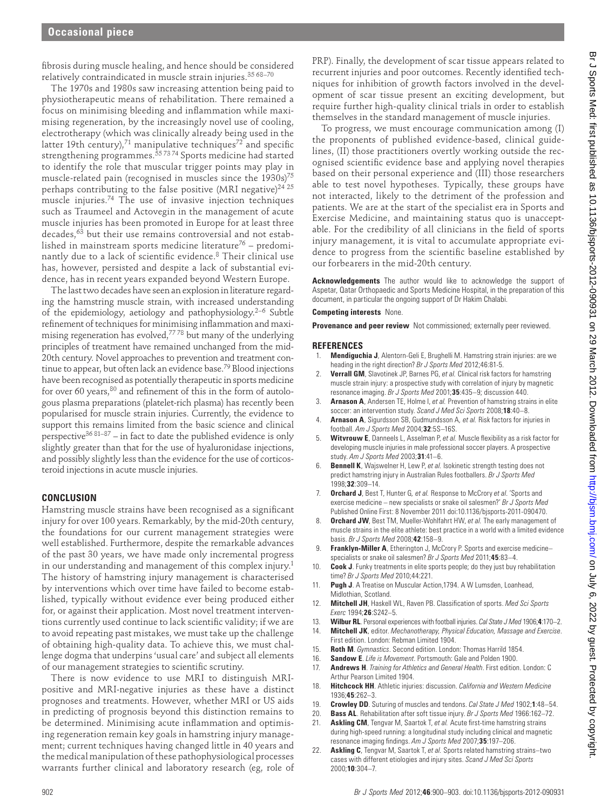fibrosis during muscle healing, and hence should be considered relatively contraindicated in muscle strain injuries.35 68–70

The 1970s and 1980s saw increasing attention being paid to physiotherapeutic means of rehabilitation. There remained a focus on minimising bleeding and inflammation while maximising regeneration, by the increasingly novel use of cooling, electrotherapy (which was clinically already being used in the latter 19th century),<sup>71</sup> manipulative techniques<sup>72</sup> and specific strengthening programmes.55 73 74 Sports medicine had started to identify the role that muscular trigger points may play in muscle-related pain (recognised in muscles since the 1930s)<sup>75</sup> perhaps contributing to the false positive (MRI negative)<sup>24</sup><sup>25</sup> muscle injuries.74 The use of invasive injection techniques such as Traumeel and Actovegin in the management of acute muscle injuries has been promoted in Europe for at least three decades,<sup>63</sup> but their use remains controversial and not established in mainstream sports medicine literature<sup>76</sup> – predominantly due to a lack of scientific evidence.<sup>8</sup> Their clinical use has, however, persisted and despite a lack of substantial evidence, has in recent years expanded beyond Western Europe.

The last two decades have seen an explosion in literature regarding the hamstring muscle strain, with increased understanding of the epidemiology, aetiology and pathophysiology.<sup>2–6</sup> Subtle refinement of techniques for minimising inflammation and maximising regeneration has evolved,77 78 but many of the underlying principles of treatment have remained unchanged from the mid-20th century. Novel approaches to prevention and treatment continue to appear, but often lack an evidence base.79 Blood injections have been recognised as potentially therapeutic in sports medicine for over 60 years, $80$  and refinement of this in the form of autologous plasma preparations (platelet-rich plasma) has recently been popularised for muscle strain injuries. Currently, the evidence to support this remains limited from the basic science and clinical perspective36 81–87 – in fact to date the published evidence is only slightly greater than that for the use of hyaluronidase injections, and possibly slightly less than the evidence for the use of corticosteroid injections in acute muscle injuries.

#### **CONCLUSION**

Hamstring muscle strains have been recognised as a significant injury for over 100 years. Remarkably, by the mid-20th century, the foundations for our current management strategies were well established. Furthermore, despite the remarkable advances of the past 30 years, we have made only incremental progress in our understanding and management of this complex injury.<sup>1</sup> The history of hamstring injury management is characterised by interventions which over time have failed to become established, typically without evidence ever being produced either for, or against their application. Most novel treatment interventions currently used continue to lack scientific validity; if we are to avoid repeating past mistakes, we must take up the challenge of obtaining high-quality data. To achieve this, we must challenge dogma that underpins 'usual care' and subject all elements of our management strategies to scientific scrutiny.

There is now evidence to use MRI to distinguish MRIpositive and MRI-negative injuries as these have a distinct prognoses and treatments. However, whether MRI or US aids in predicting of prognosis beyond this distinction remains to be determined. Minimising acute inflammation and optimising regeneration remain key goals in hamstring injury management; current techniques having changed little in 40 years and the medical manipulation of these pathophysiological processes warrants further clinical and laboratory research (eg, role of

PRP). Finally, the development of scar tissue appears related to recurrent injuries and poor outcomes. Recently identified techniques for inhibition of growth factors involved in the development of scar tissue present an exciting development, but require further high-quality clinical trials in order to establish themselves in the standard management of muscle injuries.

To progress, we must encourage communication among (I) the proponents of published evidence-based, clinical guidelines, (II) those practitioners overtly working outside the recognised scientific evidence base and applying novel therapies based on their personal experience and (III) those researchers able to test novel hypotheses. Typically, these groups have not interacted, likely to the detriment of the profession and patients. We are at the start of the specialist era in Sports and Exercise Medicine, and maintaining status quo is unacceptable. For the credibility of all clinicians in the field of sports injury management, it is vital to accumulate appropriate evidence to progress from the scientific baseline established by our forbearers in the mid-20th century.

**Acknowledgements** The author would like to acknowledge the support of Aspetar, Qatar Orthopaedic and Sports Medicine Hospital, in the preparation of this document, in particular the ongoing support of Dr Hakim Chalabi.

#### **Competing interests** None.

**Provenance and peer review** Not commissioned; externally peer reviewed.

#### **REFERENCES**

- 1. **Mendiguchia J**, Alentorn-Geli E, Brughelli M. Hamstring strain injuries: are we heading in the right direction? *Br J Sports Med* 2012;46:81-5.
- 2. **Verrall GM**, Slavotinek JP, Barnes PG, *et al.* Clinical risk factors for hamstring muscle strain injury: a prospective study with correlation of injury by magnetic resonance imaging. *Br J Sports Med* 2001;**35**:435–9; discussion 440.
- 3. **Arnason A**, Andersen TE, Holme I, *et al.* Prevention of hamstring strains in elite soccer: an intervention study. *Scand J Med Sci Sports* 2008;**18**:40–8.
- 4. **Arnason A**, Sigurdsson SB, Gudmundsson A*, et al.* Risk factors for injuries in football. *Am J Sports Med* 2004;**32**:5S–16S.
- 5. **Witvrouw E**, Danneels L, Asselman P, et al. Muscle flexibility as a risk factor for developing muscle injuries in male professional soccer players. A prospective study. *Am J Sports Med* 2003;**31**:41–6.
- 6. **Bennell K**, Wajswelner H, Lew P, *et al.* Isokinetic strength testing does not predict hamstring injury in Australian Rules footballers. *Br J Sports Med* 1998;**32**:309–14.
- 7. **Orchard J**, Best T, Hunter G*, et al.* Response to McCrory *et al*. 'Sports and exercise medicine – new specialists or snake oil salesmen?' *Br J Sports Med*  Published Online First: 8 November 2011 doi:10.1136/bjsports-2011-090470.
- 8. **Orchard JW**, Best TM, Mueller-Wohlfahrt HW, *et al.* The early management of muscle strains in the elite athlete: best practice in a world with a limited evidence basis. *Br J Sports Med* 2008;**42**:158–9.
- **Franklyn-Miller A**, Etherington J, McCrory P. Sports and exercise medicine– specialists or snake oil salesmen? *Br J Sports Med* 2011;**45**:83–4.
- 10. **Cook J**. Funky treatments in elite sports people; do they just buy rehabilitation time? *Br J Sports Med* 2010;44:221.
- 11. **Pugh J**. A Treatise on Muscular Action,1794. A W Lumsden, Loanhead, Midlothian, Scotland.
- 12. **Mitchell JH**, Haskell WL, Raven PB. Classification of sports. Med Sci Sports *Exerc* 1994;**26**:S242–5.
- 13. **Wilbur RL**. Personal experiences with football injuries. *Cal State J Med* 1906;**4**:170–2.
- 14. **Mitchell JK**, editor. *Mechanotherapy, Physical Education, Massage and Exercise*. First edition. London: Rebman Limited 1904.
- 15. **Roth M**. *Gymnastics*. Second edition. London: Thomas Harrild 1854.
- 16. **Sandow E**. *Life is Movement*. Portsmouth: Gale and Polden 1900.
- 17. **Andrews H**. *Training for Athletics and General Health*. First edition. London: C Arthur Pearson Limited 1904.
- 18. **Hitchcock HH**. Athletic injuries: discussion. *California and Western Medicine* 1936;**45**:262–3.
- 19. **Crowley DD**. Suturing of muscles and tendons. *Cal State J Med* 1902;**1**:48–54.
- 20. **Bass AL**. Rehabilitation after soft tissue injury. *Br J Sports Med* 1966:162–72.
- Askling CM, Tengvar M, Saartok T, et al. Acute first-time hamstring strains during high-speed running: a longitudinal study including clinical and magnetic resonance imaging findings. Am J Sports Med 2007;35:197-206.
- 22. **Askling C**, Tengvar M, Saartok T, *et al.* Sports related hamstring strains–two cases with different etiologies and injury sites. *Scand J Med Sci Sports* 2000;**10**:304–7.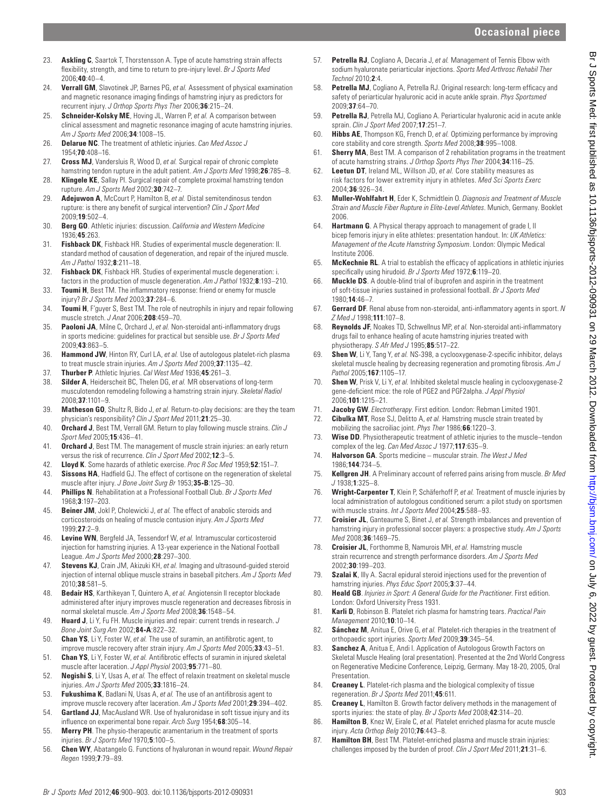- 23. **Askling C**, Saartok T, Thorstensson A. Type of acute hamstring strain affects flexibility, strength, and time to return to pre-injury level. *Br J Sports Med* 2006;**40**:40–4.
- 24. **Verrall GM**, Slavotinek JP, Barnes PG, *et al.* Assessment of physical examination and magnetic resonance imaging findings of hamstring injury as predictors for recurrent injury. *J Orthop Sports Phys Ther* 2006;**36**:215–24.
- 25. **Schneider-Kolsky ME**, Hoving JL, Warren P, *et al.* A comparison between clinical assessment and magnetic resonance imaging of acute hamstring injuries. *Am J Sports Med* 2006;**34**:1008–15.
- 26. **Delarue NC**. The treatment of athletic injuries. *Can Med Assoc J* 1954;**70**:408–16.
- 27. **Cross MJ**, Vandersluis R, Wood D, *et al.* Surgical repair of chronic complete hamstring tendon rupture in the adult patient. *Am J Sports Med* 1998;**26**:785–8.
- 28. **Klingele KE**, Sallay PI. Surgical repair of complete proximal hamstring tendon rupture. *Am J Sports Med* 2002;**30**:742–7.
- 29. **Adejuwon A**, McCourt P, Hamilton B, *et al.* Distal semitendinosus tendon rupture: is there any benefit of surgical intervention? *Clin J Sport Med* 2009;**19**:502–4.
- 30. **Berg GO**. Athletic injuries: discussion. *California and Western Medicine* 1936;**45**:263.
- 31. **Fishback DK**, Fishback HR. Studies of experimental muscle degeneration: II. standard method of causation of degeneration, and repair of the injured muscle. *Am J Pathol* 1932;**8**:211–18.
- 32. **Fishback DK**, Fishback HR. Studies of experimental muscle degeneration: i. factors in the production of muscle degeneration. *Am J Pathol* 1932;**8**:193–210.
- 33. **Toumi H**, Best TM. The inflammatory response: friend or enemy for muscle injury? *Br J Sports Med* 2003;**37**:284–6.
- 34. **Toumi H**, F'guyer S, Best TM. The role of neutrophils in injury and repair following muscle stretch. *J Anat* 2006;**208**:459–70.
- 35. **Paoloni JA**, Milne C, Orchard J, et al. Non-steroidal anti-inflammatory drugs in sports medicine: guidelines for practical but sensible use. *Br J Sports Med* 2009;**43**:863–5.
- 36. **Hammond JW**, Hinton RY, Curl LA, *et al.* Use of autologous platelet-rich plasma to treat muscle strain injuries. *Am J Sports Med* 2009;**37**:1135–42.
- 37. **Thurber P**. Athletic Injuries. *Cal West Med* 1936;**45**:261–3.
- 38. **Silder A**, Heiderscheit BC, Thelen DG, *et al.* MR observations of long-term musculotendon remodeling following a hamstring strain injury. *Skeletal Radiol* 2008;**37**:1101–9.
- 39. **Matheson GO**, Shultz R, Bido J, *et al.* Return-to-play decisions: are they the team physician's responsibility? *Clin J Sport Med* 2011;**21**:25–30.
- 40. **Orchard J**, Best TM, Verrall GM. Return to play following muscle strains. *Clin J Sport Med* 2005;**15**:436–41.
- 41. **Orchard J**, Best TM. The management of muscle strain injuries: an early return versus the risk of recurrence. *Clin J Sport Med* 2002;**12**:3–5.
- 42. **Lloyd K**. Some hazards of athletic exercise. *Proc R Soc Med* 1959;**52**:151–7.
- 43. **Sissons HA**, Hadfield GJ. The effect of cortisone on the regeneration of skeletal muscle after injury. *J Bone Joint Surg Br* 1953;**35-B**:125–30.
- 44. **Phillips N**. Rehabilitation at a Professional Football Club. *Br J Sports Med* 1968;**3**:197–203.
- 45. **Beiner JM**, Jokl P, Cholewicki J, *et al.* The effect of anabolic steroids and corticosteroids on healing of muscle contusion injury. *Am J Sports Med* 1999;**27**:2–9.
- 46. **Levine WN**, Bergfeld JA, Tessendorf W, *et al.* Intramuscular corticosteroid injection for hamstring injuries. A 13-year experience in the National Football League. *Am J Sports Med* 2000;**28**:297–300.
- 47. **Stevens KJ**, Crain JM, Akizuki KH, *et al.* Imaging and ultrasound-guided steroid injection of internal oblique muscle strains in baseball pitchers. *Am J Sports Med* 2010;**38**:581–5.
- 48. **Bedair HS**, Karthikeyan T, Quintero A, *et al.* Angiotensin II receptor blockade administered after injury improves muscle regeneration and decreases fibrosis in normal skeletal muscle. *Am J Sports Med* 2008;**36**:1548–54.
- 49. **Huard J**, Li Y, Fu FH. Muscle injuries and repair: current trends in research. *J Bone Joint Surg Am* 2002;**84-A**:822–32.
- 50. **Chan YS**, Li Y, Foster W, et al. The use of suramin, an antifibrotic agent, to improve muscle recovery after strain injury. *Am J Sports Med* 2005;**33**:43–51.
- 51. **Chan YS**, Li Y, Foster W, *et al.* Antifi brotic effects of suramin in injured skeletal muscle after laceration. *J Appl Physiol* 2003;**95**:771–80.
- 52. **Negishi S**, Li Y, Usas A, *et al.* The effect of relaxin treatment on skeletal muscle injuries. *Am J Sports Med* 2005;**33**:1816–24.
- 53. **Fukushima K**, Badlani N, Usas A, *et al.* The use of an antifibrosis agent to improve muscle recovery after laceration. *Am J Sports Med* 2001;**29**:394–402.
- 54. **Gartland JJ**, MacAusland WR. Use of hyaluronidase in soft tissue injury and its influence on experimental bone repair. *Arch Surg* 1954:68:305-14.
- 55. **Merry PH**. The physio-therapeutic aramentarium in the treatment of sports injuries. *Br J Sports Med* 1970;**5**:100–5.
- 56. **Chen WY**, Abatangelo G. Functions of hyaluronan in wound repair. *Wound Repair Regen* 1999;**7**:79–89.
- 57. **Petrella RJ**, Cogliano A, Decaria J, *et al.* Management of Tennis Elbow with sodium hyaluronate periarticular injections. *Sports Med Arthrosc Rehabil Ther Technol* 2010;**2**:4.
- 58. **Petrella MJ**, Cogliano A, Petrella RJ. Original research: long-term efficacy and safety of periarticular hyaluronic acid in acute ankle sprain. *Phys Sportsmed* 2009;**37**:64–70.
- 59. **Petrella RJ**, Petrella MJ, Cogliano A. Periarticular hyaluronic acid in acute ankle sprain. *Clin J Sport Med* 2007;**17**:251–7.
- 60. **Hibbs AE**, Thompson KG, French D, *et al.* Optimizing performance by improving core stability and core strength. *Sports Med* 2008;**38**:995–1008.
- 61. **Sherry MA**, Best TM. A comparison of 2 rehabilitation programs in the treatment of acute hamstring strains. *J Orthop Sports Phys Ther* 2004;**34**:116–25.
- 62. **Leetun DT**, Ireland ML, Willson JD, *et al.* Core stability measures as risk factors for lower extremity injury in athletes. *Med Sci Sports Exerc* 2004;**36**:926–34.
- 63. **Muller-Wohlfahrt H**, Eder K, Schmidtlein O. *Diagnosis and Treatment of Muscle Strain and Muscle Fiber Rupture in Elite-Level Athletes*. Munich, Germany. Booklet 2006.
- 64. **Hartmann G**. A Physical therapy approach to management of grade I, II bicep femoris injury in elite athletes: presentation handout. In: *UK Athletics: Management of the Acute Hamstring Symposium*. London: Olympic Medical Institute 2006.
- 65. **McKechnie RL**. A trial to establish the efficacy of applications in athletic injuries specifically using hirudoid. *Br J Sports Med* 1972; 6:119-20.
- 66. **Muckle DS**. A double-blind trial of ibuprofen and aspirin in the treatment of soft-tissue injuries sustained in professional football. *Br J Sports Med* 1980;**14**:46–7.
- 67. **Gerrard DF**. Renal abuse from non-steroidal, anti-inflammatory agents in sport. *N Z Med J* 1998;**111**:107–8.
- 68. **Reynolds JF**, Noakes TD, Schwellnus MP, et al. Non-steroidal anti-inflammatory drugs fail to enhance healing of acute hamstring injuries treated with physiotherapy. *S Afr Med J* 1995;**85**:517–22.
- 69. **Shen W**, Li Y, Tang Y, et al. NS-398, a cyclooxygenase-2-specific inhibitor, delays skeletal muscle healing by decreasing regeneration and promoting fibrosis. Am J *Pathol* 2005;**167**:1105–17.
- 70. **Shen W**, Prisk V, Li Y, *et al.* Inhibited skeletal muscle healing in cyclooxygenase-2 gene-deficient mice: the role of PGE2 and PGF2alpha. *J Appl Physiol* 2006;**101**:1215–21.
- 71. **Jacoby GW**. *Electrotherapy*. First edition. London: Rebman Limited 1901.
- 72. **Cibulka MT**, Rose SJ, Delitto A, *et al.* Hamstring muscle strain treated by
- mobilizing the sacroiliac joint. *Phys Ther* 1986;**66**:1220–3. 73. **Wise DD**. Physiotherapeutic treatment of athletic injuries to the muscle–tendon
- complex of the leg. *Can Med Assoc J* 1977;**117**:635–9.
- 74. **Halvorson GA**. Sports medicine muscular strain. *The West J Med*  1986;**144**:734–5.
- 75. **Kellgren JH**. A Preliminary account of referred pains arising from muscle. *Br Med J* 1938;**1**:325–8.
- 76. **Wright-Carpenter T**, Klein P, Schäferhoff P, *et al.* Treatment of muscle injuries by local administration of autologous conditioned serum: a pilot study on sportsmen with muscle strains. *Int J Sports Med* 2004;**25**:588–93.
- 77. **Croisier JL**, Ganteaume S, Binet J, *et al.* Strength imbalances and prevention of hamstring injury in professional soccer players: a prospective study. *Am J Sports Med* 2008;**36**:1469–75.
- 78. **Croisier JL**, Forthomme B, Namurois MH, *et al.* Hamstring muscle strain recurrence and strength performance disorders. *Am J Sports Med* 2002;**30**:199–203.
- 79. **Szalai K**, Illy A. Sacral epidural steroid injections used for the prevention of hamstring injuries. *Phys Educ Sport* 2005;**3**:37–44.
- 80. **Heald GB**. *Injuries in Sport: A General Guide for the Practitioner*. First edition. London: Oxford University Press 1931.
- 81. **Karli D**, Robinson B. Platelet rich plasma for hamstring tears. *Practical Pain Management* 2010;**10**:10–14.
- 82. **Sánchez M**, Anitua E, Orive G, *et al.* Platelet-rich therapies in the treatment of orthopaedic sport injuries. *Sports Med* 2009;**39**:345–54.
- 83. **Sanchez A**, Anitua E, Andi I. Application of Autologous Growth Factors on Skeletal Muscle Healing (oral presentation). Presented at the 2nd World Congress on Regenerative Medicine Conference, Leipzig, Germany. May 18-20, 2005, Oral Presentation.
- 84. **Creaney L**. Platelet-rich plasma and the biological complexity of tissue regeneration. *Br J Sports Med* 2011;**45**:611.
- 85. **Creaney L**, Hamilton B. Growth factor delivery methods in the management of sports injuries: the state of play. *Br J Sports Med* 2008;**42**:314–20.
- 86. **Hamilton B**, Knez W, Eirale C, *et al.* Platelet enriched plasma for acute muscle injury. *Acta Orthop Belg* 2010;**76**:443–8.
- 87. **Hamilton BH**, Best TM. Platelet-enriched plasma and muscle strain injuries: challenges imposed by the burden of proof. *Clin J Sport Med* 2011;**21**:31–6.